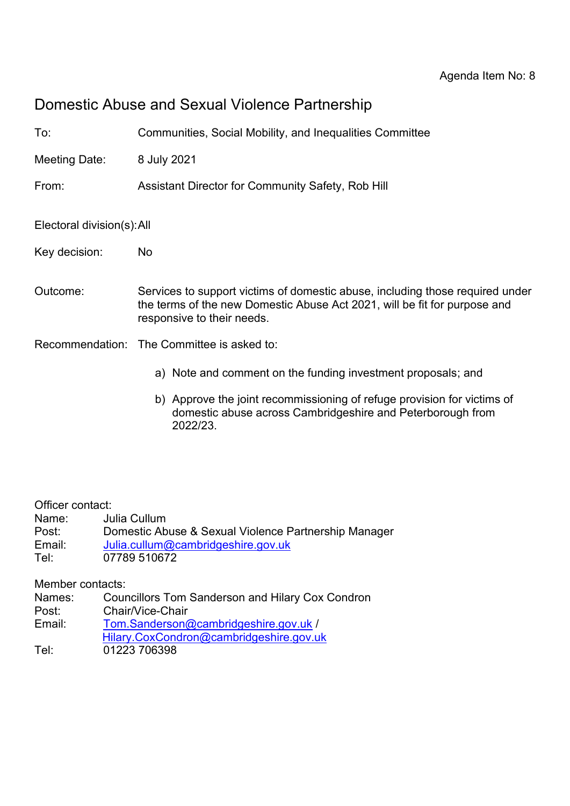# Domestic Abuse and Sexual Violence Partnership

| To:                        | Communities, Social Mobility, and Inequalities Committee                                                                                                                                 |
|----------------------------|------------------------------------------------------------------------------------------------------------------------------------------------------------------------------------------|
| Meeting Date:              | 8 July 2021                                                                                                                                                                              |
| From:                      | Assistant Director for Community Safety, Rob Hill                                                                                                                                        |
| Electoral division(s): All |                                                                                                                                                                                          |
| Key decision:              | No.                                                                                                                                                                                      |
| Outcome:                   | Services to support victims of domestic abuse, including those required under<br>the terms of the new Domestic Abuse Act 2021, will be fit for purpose and<br>responsive to their needs. |
|                            | Recommendation: The Committee is asked to:                                                                                                                                               |
|                            | a) Note and comment on the funding investment proposals; and                                                                                                                             |
|                            | b) Approve the joint recommissioning of refuge provision for victims of<br>demostic abuse gersee Cambridgeshire and Deterberaugh from                                                    |

domestic abuse across Cambridgeshire and Peterborough from 2022/23.

Officer contact:

Name: Julia Cullum

- Post: Domestic Abuse & Sexual Violence Partnership Manager
- Email: [Julia.cullum@cambridgeshire.gov.uk](mailto:Julia.cullum@cambridgeshire.gov.uk)
- Tel: 07789 510672

Member contacts:

Names: Councillors Tom Sanderson and Hilary Cox Condron

- Post: Chair/Vice-Chair
- Email: [Tom.Sanderson@cambridgeshire.gov.uk](mailto:Tom.Sanderson@cambridgeshire.gov.uk) /
- [Hilary.CoxCondron@cambridgeshire.gov.uk](mailto:Hilary.CoxCondron@cambridgeshire.gov.uk)
- Tel: 01223 706398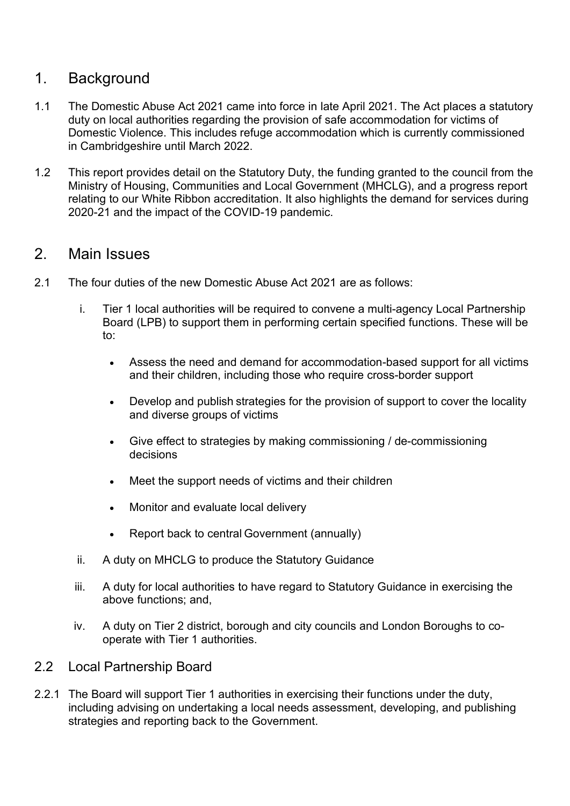# 1. Background

- 1.1 The Domestic Abuse Act 2021 came into force in late April 2021. The Act places a statutory duty on local authorities regarding the provision of safe accommodation for victims of Domestic Violence. This includes refuge accommodation which is currently commissioned in Cambridgeshire until March 2022.
- 1.2 This report provides detail on the Statutory Duty, the funding granted to the council from the Ministry of Housing, Communities and Local Government (MHCLG), and a progress report relating to our White Ribbon accreditation. It also highlights the demand for services during 2020-21 and the impact of the COVID-19 pandemic.

# 2. Main Issues

- 2.1 The four duties of the new Domestic Abuse Act 2021 are as follows:
	- i. Tier 1 local authorities will be required to convene a multi-agency Local Partnership Board (LPB) to support them in performing certain specified functions. These will be to:
		- Assess the need and demand for accommodation-based support for all victims and their children, including those who require cross-border support
		- Develop and publish strategies for the provision of support to cover the locality and diverse groups of victims
		- Give effect to strategies by making commissioning / de-commissioning decisions
		- Meet the support needs of victims and their children
		- Monitor and evaluate local delivery
		- Report back to central Government (annually)
	- ii. A duty on MHCLG to produce the Statutory Guidance
	- iii. A duty for local authorities to have regard to Statutory Guidance in exercising the above functions; and,
	- iv. A duty on Tier 2 district, borough and city councils and London Boroughs to cooperate with Tier 1 authorities.
- 2.2 Local Partnership Board
- 2.2.1 The Board will support Tier 1 authorities in exercising their functions under the duty, including advising on undertaking a local needs assessment, developing, and publishing strategies and reporting back to the Government.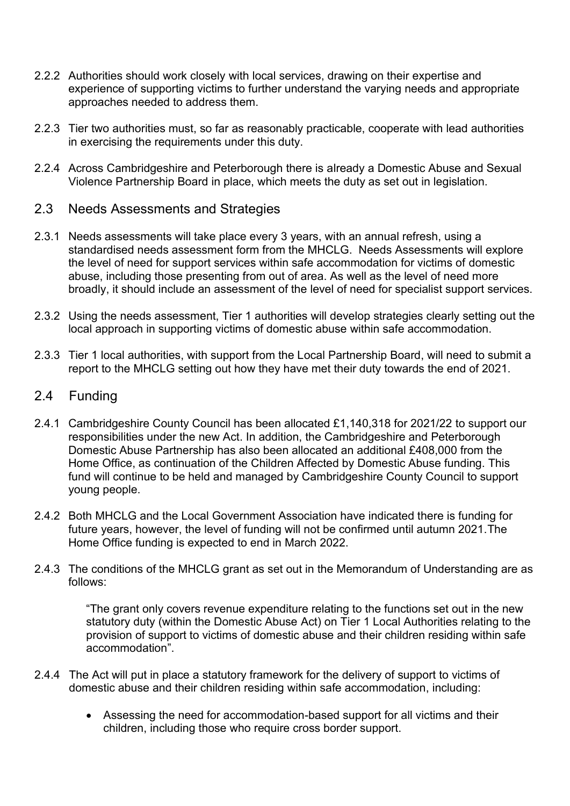- 2.2.2 Authorities should work closely with local services, drawing on their expertise and experience of supporting victims to further understand the varying needs and appropriate approaches needed to address them.
- 2.2.3 Tier two authorities must, so far as reasonably practicable, cooperate with lead authorities in exercising the requirements under this duty.
- 2.2.4 Across Cambridgeshire and Peterborough there is already a Domestic Abuse and Sexual Violence Partnership Board in place, which meets the duty as set out in legislation.
- 2.3 Needs Assessments and Strategies
- 2.3.1 Needs assessments will take place every 3 years, with an annual refresh, using a standardised needs assessment form from the MHCLG. Needs Assessments will explore the level of need for support services within safe accommodation for victims of domestic abuse, including those presenting from out of area. As well as the level of need more broadly, it should include an assessment of the level of need for specialist support services.
- 2.3.2 Using the needs assessment, Tier 1 authorities will develop strategies clearly setting out the local approach in supporting victims of domestic abuse within safe accommodation.
- 2.3.3 Tier 1 local authorities, with support from the Local Partnership Board, will need to submit a report to the MHCLG setting out how they have met their duty towards the end of 2021.
- 2.4 Funding
- 2.4.1 Cambridgeshire County Council has been allocated £1,140,318 for 2021/22 to support our responsibilities under the new Act. In addition, the Cambridgeshire and Peterborough Domestic Abuse Partnership has also been allocated an additional £408,000 from the Home Office, as continuation of the Children Affected by Domestic Abuse funding. This fund will continue to be held and managed by Cambridgeshire County Council to support young people.
- 2.4.2 Both MHCLG and the Local Government Association have indicated there is funding for future years, however, the level of funding will not be confirmed until autumn 2021.The Home Office funding is expected to end in March 2022.
- 2.4.3 The conditions of the MHCLG grant as set out in the Memorandum of Understanding are as follows:

"The grant only covers revenue expenditure relating to the functions set out in the new statutory duty (within the Domestic Abuse Act) on Tier 1 Local Authorities relating to the provision of support to victims of domestic abuse and their children residing within safe accommodation".

- 2.4.4 The Act will put in place a statutory framework for the delivery of support to victims of domestic abuse and their children residing within safe accommodation, including:
	- Assessing the need for accommodation-based support for all victims and their children, including those who require cross border support.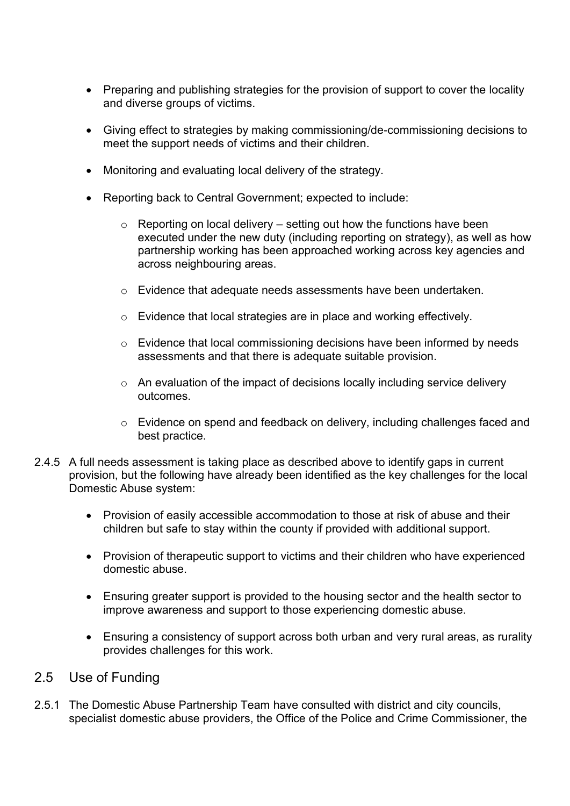- Preparing and publishing strategies for the provision of support to cover the locality and diverse groups of victims.
- Giving effect to strategies by making commissioning/de-commissioning decisions to meet the support needs of victims and their children.
- Monitoring and evaluating local delivery of the strategy.
- Reporting back to Central Government; expected to include:
	- $\circ$  Reporting on local delivery setting out how the functions have been executed under the new duty (including reporting on strategy), as well as how partnership working has been approached working across key agencies and across neighbouring areas.
	- o Evidence that adequate needs assessments have been undertaken.
	- o Evidence that local strategies are in place and working effectively.
	- o Evidence that local commissioning decisions have been informed by needs assessments and that there is adequate suitable provision.
	- o An evaluation of the impact of decisions locally including service delivery outcomes.
	- o Evidence on spend and feedback on delivery, including challenges faced and best practice.
- 2.4.5 A full needs assessment is taking place as described above to identify gaps in current provision, but the following have already been identified as the key challenges for the local Domestic Abuse system:
	- Provision of easily accessible accommodation to those at risk of abuse and their children but safe to stay within the county if provided with additional support.
	- Provision of therapeutic support to victims and their children who have experienced domestic abuse.
	- Ensuring greater support is provided to the housing sector and the health sector to improve awareness and support to those experiencing domestic abuse.
	- Ensuring a consistency of support across both urban and very rural areas, as rurality provides challenges for this work.

### 2.5 Use of Funding

2.5.1 The Domestic Abuse Partnership Team have consulted with district and city councils, specialist domestic abuse providers, the Office of the Police and Crime Commissioner, the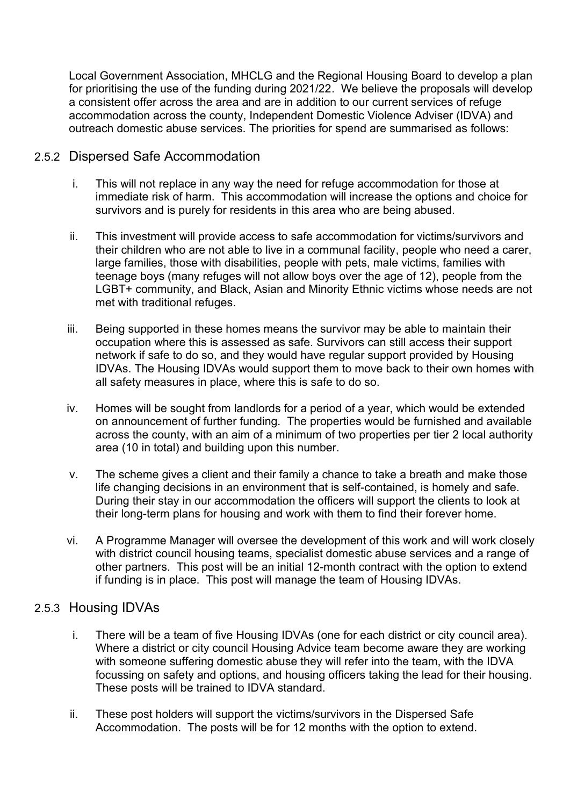Local Government Association, MHCLG and the Regional Housing Board to develop a plan for prioritising the use of the funding during 2021/22. We believe the proposals will develop a consistent offer across the area and are in addition to our current services of refuge accommodation across the county, Independent Domestic Violence Adviser (IDVA) and outreach domestic abuse services. The priorities for spend are summarised as follows:

## 2.5.2 Dispersed Safe Accommodation

- i. This will not replace in any way the need for refuge accommodation for those at immediate risk of harm. This accommodation will increase the options and choice for survivors and is purely for residents in this area who are being abused.
- ii. This investment will provide access to safe accommodation for victims/survivors and their children who are not able to live in a communal facility, people who need a carer, large families, those with disabilities, people with pets, male victims, families with teenage boys (many refuges will not allow boys over the age of 12), people from the LGBT+ community, and Black, Asian and Minority Ethnic victims whose needs are not met with traditional refuges.
- iii. Being supported in these homes means the survivor may be able to maintain their occupation where this is assessed as safe. Survivors can still access their support network if safe to do so, and they would have regular support provided by Housing IDVAs. The Housing IDVAs would support them to move back to their own homes with all safety measures in place, where this is safe to do so.
- iv. Homes will be sought from landlords for a period of a year, which would be extended on announcement of further funding. The properties would be furnished and available across the county, with an aim of a minimum of two properties per tier 2 local authority area (10 in total) and building upon this number.
- v. The scheme gives a client and their family a chance to take a breath and make those life changing decisions in an environment that is self-contained, is homely and safe. During their stay in our accommodation the officers will support the clients to look at their long-term plans for housing and work with them to find their forever home.
- vi. A Programme Manager will oversee the development of this work and will work closely with district council housing teams, specialist domestic abuse services and a range of other partners. This post will be an initial 12-month contract with the option to extend if funding is in place. This post will manage the team of Housing IDVAs.

#### 2.5.3 Housing IDVAs

- i. There will be a team of five Housing IDVAs (one for each district or city council area). Where a district or city council Housing Advice team become aware they are working with someone suffering domestic abuse they will refer into the team, with the IDVA focussing on safety and options, and housing officers taking the lead for their housing. These posts will be trained to IDVA standard.
- ii. These post holders will support the victims/survivors in the Dispersed Safe Accommodation. The posts will be for 12 months with the option to extend.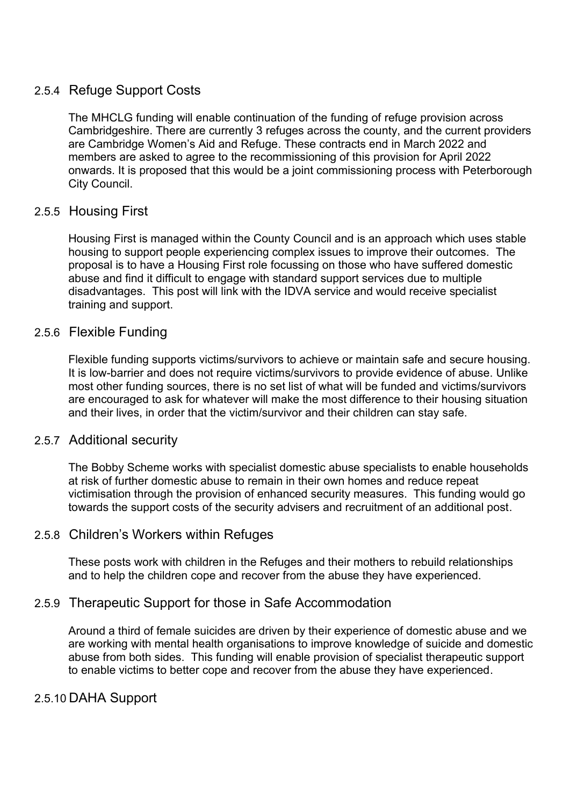## 2.5.4 Refuge Support Costs

The MHCLG funding will enable continuation of the funding of refuge provision across Cambridgeshire. There are currently 3 refuges across the county, and the current providers are Cambridge Women's Aid and Refuge. These contracts end in March 2022 and members are asked to agree to the recommissioning of this provision for April 2022 onwards. It is proposed that this would be a joint commissioning process with Peterborough City Council.

## 2.5.5 Housing First

Housing First is managed within the County Council and is an approach which uses stable housing to support people experiencing complex issues to improve their outcomes. The proposal is to have a Housing First role focussing on those who have suffered domestic abuse and find it difficult to engage with standard support services due to multiple disadvantages. This post will link with the IDVA service and would receive specialist training and support.

#### 2.5.6 Flexible Funding

Flexible funding supports victims/survivors to achieve or maintain safe and secure housing. It is low-barrier and does not require victims/survivors to provide evidence of abuse. Unlike most other funding sources, there is no set list of what will be funded and victims/survivors are encouraged to ask for whatever will make the most difference to their housing situation and their lives, in order that the victim/survivor and their children can stay safe.

#### 2.5.7 Additional security

The Bobby Scheme works with specialist domestic abuse specialists to enable households at risk of further domestic abuse to remain in their own homes and reduce repeat victimisation through the provision of enhanced security measures. This funding would go towards the support costs of the security advisers and recruitment of an additional post.

# 2.5.8 Children's Workers within Refuges

These posts work with children in the Refuges and their mothers to rebuild relationships and to help the children cope and recover from the abuse they have experienced.

#### 2.5.9 Therapeutic Support for those in Safe Accommodation

Around a third of female suicides are driven by their experience of domestic abuse and we are working with mental health organisations to improve knowledge of suicide and domestic abuse from both sides. This funding will enable provision of specialist therapeutic support to enable victims to better cope and recover from the abuse they have experienced.

#### 2.5.10 DAHA Support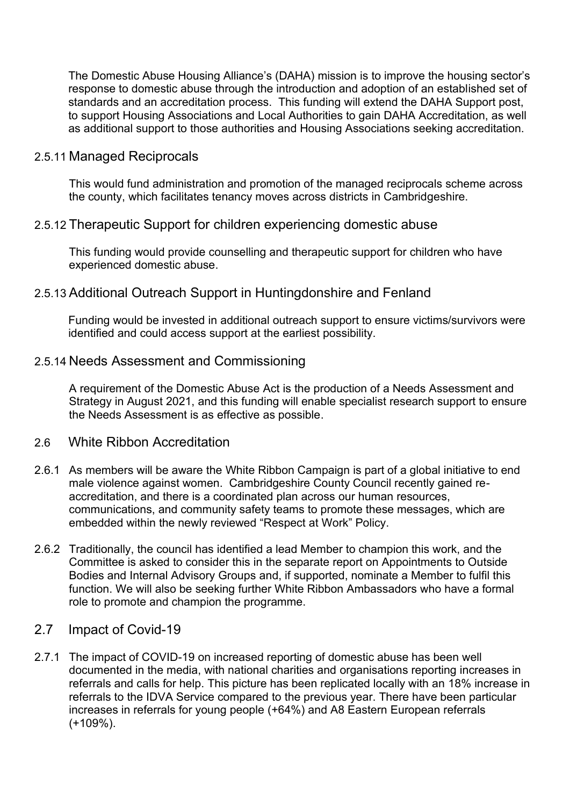The Domestic Abuse Housing Alliance's (DAHA) mission is to improve the housing sector's response to domestic abuse through the introduction and adoption of an established set of standards and an accreditation process. This funding will extend the DAHA Support post, to support Housing Associations and Local Authorities to gain DAHA Accreditation, as well as additional support to those authorities and Housing Associations seeking accreditation.

#### 2.5.11 Managed Reciprocals

This would fund administration and promotion of the managed reciprocals scheme across the county, which facilitates tenancy moves across districts in Cambridgeshire.

#### 2.5.12 Therapeutic Support for children experiencing domestic abuse

This funding would provide counselling and therapeutic support for children who have experienced domestic abuse.

### 2.5.13 Additional Outreach Support in Huntingdonshire and Fenland

Funding would be invested in additional outreach support to ensure victims/survivors were identified and could access support at the earliest possibility.

#### 2.5.14 Needs Assessment and Commissioning

A requirement of the Domestic Abuse Act is the production of a Needs Assessment and Strategy in August 2021, and this funding will enable specialist research support to ensure the Needs Assessment is as effective as possible.

#### 2.6 White Ribbon Accreditation

- 2.6.1 As members will be aware the White Ribbon Campaign is part of a global initiative to end male violence against women. Cambridgeshire County Council recently gained reaccreditation, and there is a coordinated plan across our human resources, communications, and community safety teams to promote these messages, which are embedded within the newly reviewed "Respect at Work" Policy.
- 2.6.2 Traditionally, the council has identified a lead Member to champion this work, and the Committee is asked to consider this in the separate report on Appointments to Outside Bodies and Internal Advisory Groups and, if supported, nominate a Member to fulfil this function. We will also be seeking further White Ribbon Ambassadors who have a formal role to promote and champion the programme.

#### 2.7 Impact of Covid-19

2.7.1 The impact of COVID-19 on increased reporting of domestic abuse has been well documented in the media, with national charities and organisations reporting increases in referrals and calls for help. This picture has been replicated locally with an 18% increase in referrals to the IDVA Service compared to the previous year. There have been particular increases in referrals for young people (+64%) and A8 Eastern European referrals (+109%).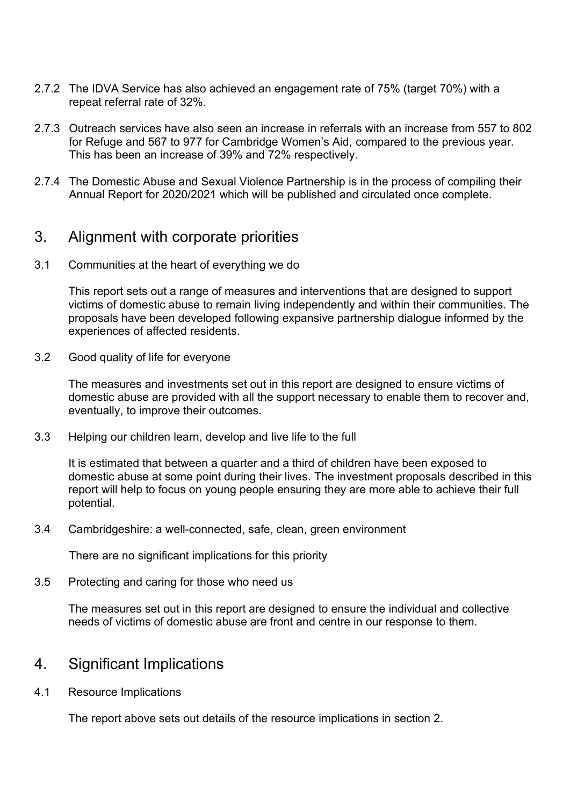- 2.7.2 The IDVA Service has also achieved an engagement rate of 75% (target 70%) with a repeat referral rate of 32%.
- 2.7.3 Outreach services have also seen an increase in referrals with an increase from 557 to 802 for Refuge and 567 to 977 for Cambridge Women's Aid, compared to the previous year. This has been an increase of 39% and 72% respectively.
- 2.7.4 The Domestic Abuse and Sexual Violence Partnership is in the process of compiling their Annual Report for 2020/2021 which will be published and circulated once complete.

# 3. Alignment with corporate priorities

3.1 Communities at the heart of everything we do

This report sets out a range of measures and interventions that are designed to support victims of domestic abuse to remain living independently and within their communities. The proposals have been developed following expansive partnership dialogue informed by the experiences of affected residents.

3.2 Good quality of life for everyone

The measures and investments set out in this report are designed to ensure victims of domestic abuse are provided with all the support necessary to enable them to recover and, eventually, to improve their outcomes.

3.3 Helping our children learn, develop and live life to the full

It is estimated that between a quarter and a third of children have been exposed to domestic abuse at some point during their lives. The investment proposals described in this report will help to focus on young people ensuring they are more able to achieve their full potential.

3.4 Cambridgeshire: a well-connected, safe, clean, green environment

There are no significant implications for this priority

3.5 Protecting and caring for those who need us

The measures set out in this report are designed to ensure the individual and collective needs of victims of domestic abuse are front and centre in our response to them.

# 4. Significant Implications

4.1 Resource Implications

The report above sets out details of the resource implications in section 2.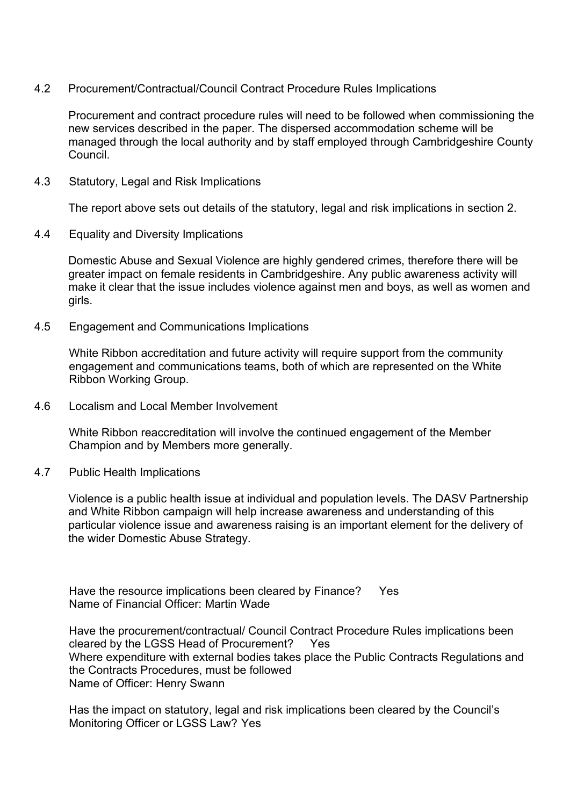4.2 Procurement/Contractual/Council Contract Procedure Rules Implications

Procurement and contract procedure rules will need to be followed when commissioning the new services described in the paper. The dispersed accommodation scheme will be managed through the local authority and by staff employed through Cambridgeshire County Council.

4.3 Statutory, Legal and Risk Implications

The report above sets out details of the statutory, legal and risk implications in section 2.

4.4 Equality and Diversity Implications

Domestic Abuse and Sexual Violence are highly gendered crimes, therefore there will be greater impact on female residents in Cambridgeshire. Any public awareness activity will make it clear that the issue includes violence against men and boys, as well as women and girls.

4.5 Engagement and Communications Implications

White Ribbon accreditation and future activity will require support from the community engagement and communications teams, both of which are represented on the White Ribbon Working Group.

4.6 Localism and Local Member Involvement

White Ribbon reaccreditation will involve the continued engagement of the Member Champion and by Members more generally.

4.7 Public Health Implications

Violence is a public health issue at individual and population levels. The DASV Partnership and White Ribbon campaign will help increase awareness and understanding of this particular violence issue and awareness raising is an important element for the delivery of the wider Domestic Abuse Strategy.

Have the resource implications been cleared by Finance? Yes Name of Financial Officer: Martin Wade

Have the procurement/contractual/ Council Contract Procedure Rules implications been cleared by the LGSS Head of Procurement? Yes Where expenditure with external bodies takes place the Public Contracts Regulations and the Contracts Procedures, must be followed Name of Officer: Henry Swann

Has the impact on statutory, legal and risk implications been cleared by the Council's Monitoring Officer or LGSS Law? Yes